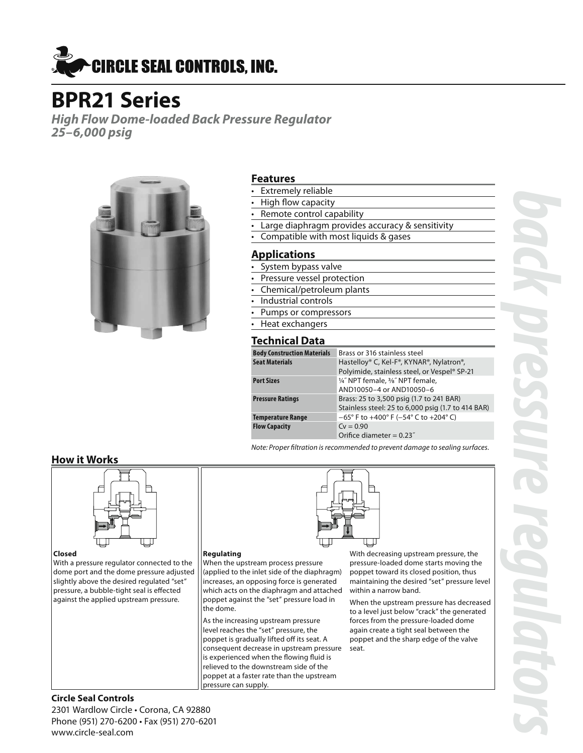

# **BPR21 Series**

*High Flow Dome-loaded Back Pressure Regulator 25–6,000 psig*



#### **Features**

- **Extremely reliable**
- High flow capacity
- Remote control capability
- Large diaphragm provides accuracy & sensitivity
- Compatible with most liquids & gases

#### **Applications**

- System bypass valve
- Pressure vessel protection
- Chemical/petroleum plants
- Industrial controls
- Pumps or compressors
- Heat exchangers

#### **Technical Data**

| <b>Body Construction Materials</b> | Brass or 316 stainless steel                                               |
|------------------------------------|----------------------------------------------------------------------------|
| <b>Seat Materials</b>              | Hastelloy® C, Kel-F®, KYNAR®, Nylatron®,                                   |
|                                    | Polyimide, stainless steel, or Vespel® SP-21                               |
| Port Sizes                         | 1/4" NPT female, 3/8" NPT female,                                          |
|                                    | AND10050-4 or AND10050-6                                                   |
| <b>Pressure Ratings</b>            | Brass: 25 to 3,500 psig (1.7 to 241 BAR)                                   |
|                                    | Stainless steel: 25 to 6,000 psig (1.7 to 414 BAR)                         |
| Temperature Range                  | $-65^{\circ}$ F to $+400^{\circ}$ F ( $-54^{\circ}$ C to $+204^{\circ}$ C) |
| <b>Flow Capacity</b>               | $Cv = 0.90$                                                                |
|                                    | Orifice diameter = $0.23$ "                                                |
|                                    |                                                                            |

*Note: Proper filtration is recommended to prevent damage to sealing surfaces.*

#### **How it Works**



#### **Closed**

With a pressure regulator connected to the dome port and the dome pressure adjusted slightly above the desired regulated "set" pressure, a bubble-tight seal is effected against the applied upstream pressure.

#### **Regulating**

When the upstream process pressure (applied to the inlet side of the diaphragm) increases, an opposing force is generated which acts on the diaphragm and attached poppet against the "set" pressure load in the dome.

As the increasing upstream pressure level reaches the "set" pressure, the poppet is gradually lifted off its seat. A consequent decrease in upstream pressure is experienced when the flowing fluid is relieved to the downstream side of the poppet at a faster rate than the upstream pressure can supply.

With decreasing upstream pressure, the pressure-loaded dome starts moving the poppet toward its closed position, thus maintaining the desired "set" pressure level within a narrow band.

When the upstream pressure has decreased to a level just below "crack" the generated forces from the pressure-loaded dome again create a tight seal between the poppet and the sharp edge of the valve seat.

*back pressure regulators*

#### **Circle Seal Controls**

2301 Wardlow Circle • Corona, CA 92880 Phone (951) 270-6200 • Fax (951) 270-6201 www.circle-seal.com